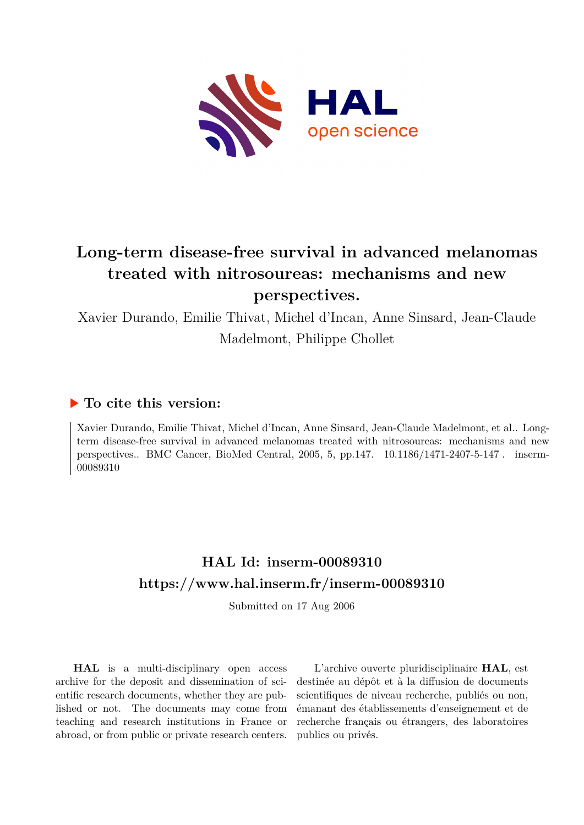

# **Long-term disease-free survival in advanced melanomas treated with nitrosoureas: mechanisms and new perspectives.**

Xavier Durando, Emilie Thivat, Michel d'Incan, Anne Sinsard, Jean-Claude Madelmont, Philippe Chollet

## **To cite this version:**

Xavier Durando, Emilie Thivat, Michel d'Incan, Anne Sinsard, Jean-Claude Madelmont, et al.. Longterm disease-free survival in advanced melanomas treated with nitrosoureas: mechanisms and new perspectives.. BMC Cancer, BioMed Central, 2005, 5, pp.147.  $10.1186/1471-2407-5-147$ . inserm-00089310

# **HAL Id: inserm-00089310 <https://www.hal.inserm.fr/inserm-00089310>**

Submitted on 17 Aug 2006

**HAL** is a multi-disciplinary open access archive for the deposit and dissemination of scientific research documents, whether they are published or not. The documents may come from teaching and research institutions in France or abroad, or from public or private research centers.

L'archive ouverte pluridisciplinaire **HAL**, est destinée au dépôt et à la diffusion de documents scientifiques de niveau recherche, publiés ou non, émanant des établissements d'enseignement et de recherche français ou étrangers, des laboratoires publics ou privés.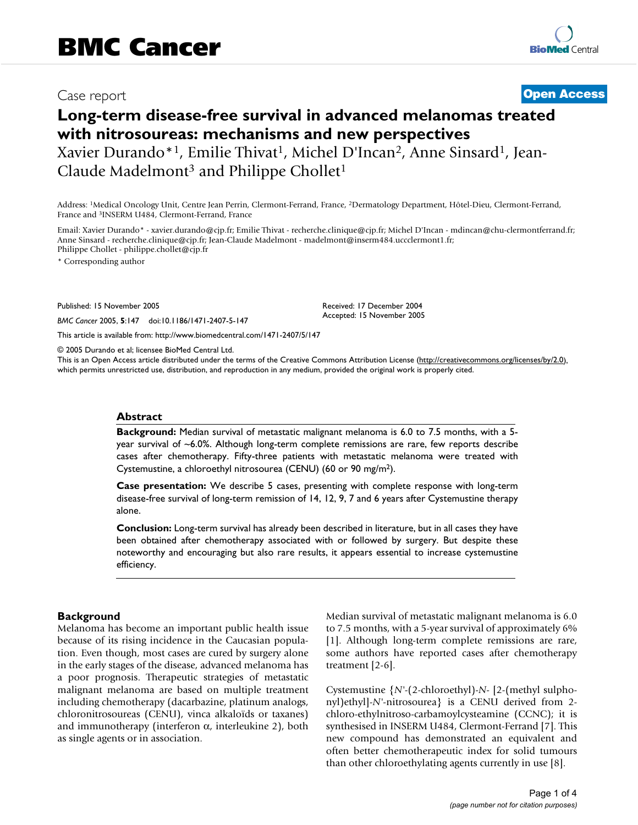## Case report **Case report** Case report **Case report** Case report Case report Case report Case report Case **[Open Access](http://www.biomedcentral.com/info/about/charter/)**

## **Long-term disease-free survival in advanced melanomas treated with nitrosoureas: mechanisms and new perspectives** Xavier Durando\*<sup>1</sup>, Emilie Thivat<sup>1</sup>, Michel D'Incan<sup>2</sup>, Anne Sinsard<sup>1</sup>, Jean-Claude Madelmont<sup>3</sup> and Philippe Chollet<sup>1</sup>

Address: <sup>1</sup>Medical Oncology Unit, Centre Jean Perrin, Clermont-Ferrand, France, <sup>2</sup>Dermatology Department, Hôtel-Dieu, Clermont-Ferrand, France and <sup>3</sup>INSERM U484, Clermont-Ferrand, France

Email: Xavier Durando\* - xavier.durando@cjp.fr; Emilie Thivat - recherche.clinique@cjp.fr; Michel D'Incan - mdincan@chu-clermontferrand.fr; Anne Sinsard - recherche.clinique@cjp.fr; Jean-Claude Madelmont - madelmont@inserm484.uccclermont1.fr; Philippe Chollet - philippe.chollet@cjp.fr

\* Corresponding author

Published: 15 November 2005

*BMC Cancer* 2005, **5**:147 doi:10.1186/1471-2407-5-147

Received: 17 December 2004 Accepted: 15 November 2005

[This article is available from: http://www.biomedcentral.com/1471-2407/5/147](http://www.biomedcentral.com/1471-2407/5/147)

© 2005 Durando et al; licensee BioMed Central Ltd.

This is an Open Access article distributed under the terms of the Creative Commons Attribution License [\(http://creativecommons.org/licenses/by/2.0\)](http://creativecommons.org/licenses/by/2.0), which permits unrestricted use, distribution, and reproduction in any medium, provided the original work is properly cited.

#### **Abstract**

**Background:** Median survival of metastatic malignant melanoma is 6.0 to 7.5 months, with a 5 year survival of ~6.0%. Although long-term complete remissions are rare, few reports describe cases after chemotherapy. Fifty-three patients with metastatic melanoma were treated with Cystemustine, a chloroethyl nitrosourea (CENU) (60 or 90 mg/m<sup>2</sup>).

**Case presentation:** We describe 5 cases, presenting with complete response with long-term disease-free survival of long-term remission of 14, 12, 9, 7 and 6 years after Cystemustine therapy alone.

**Conclusion:** Long-term survival has already been described in literature, but in all cases they have been obtained after chemotherapy associated with or followed by surgery. But despite these noteworthy and encouraging but also rare results, it appears essential to increase cystemustine efficiency.

#### **Background**

Melanoma has become an important public health issue because of its rising incidence in the Caucasian population. Even though, most cases are cured by surgery alone in the early stages of the disease, advanced melanoma has a poor prognosis. Therapeutic strategies of metastatic malignant melanoma are based on multiple treatment including chemotherapy (dacarbazine, platinum analogs, chloronitrosoureas (CENU), vinca alkaloïds or taxanes) and immunotherapy (interferon  $\alpha$ , interleukine 2), both as single agents or in association.

Median survival of metastatic malignant melanoma is 6.0 to 7.5 months, with a 5-year survival of approximately 6% [1]. Although long-term complete remissions are rare, some authors have reported cases after chemotherapy treatment [2-6].

Cystemustine {*N'*-(2-chloroethyl)-*N*- [2-(methyl sulphonyl)ethyl]-*N'*-nitrosourea} is a CENU derived from 2 chloro-ethylnitroso-carbamoylcysteamine (CCNC); it is synthesised in INSERM U484, Clermont-Ferrand [7]. This new compound has demonstrated an equivalent and often better chemotherapeutic index for solid tumours than other chloroethylating agents currently in use [8].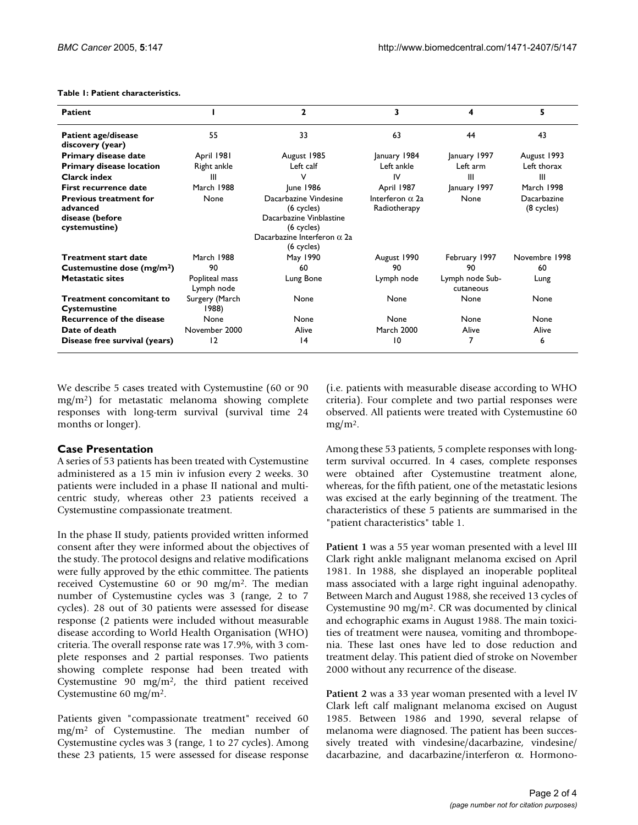#### **Table 1: Patient characteristics.**

| <b>Patient</b>                                                                                                                                                                    |                                            | $\mathbf{z}$                                                                                                                                                        | 3                                                                         | 4                                              | 5                                                        |
|-----------------------------------------------------------------------------------------------------------------------------------------------------------------------------------|--------------------------------------------|---------------------------------------------------------------------------------------------------------------------------------------------------------------------|---------------------------------------------------------------------------|------------------------------------------------|----------------------------------------------------------|
| <b>Patient age/disease</b><br>discovery (year)                                                                                                                                    | 55                                         | 33                                                                                                                                                                  | 63                                                                        | 44                                             | 43                                                       |
| Primary disease date                                                                                                                                                              | April 1981                                 | August 1985                                                                                                                                                         | January 1984                                                              | January 1997                                   | August 1993                                              |
| <b>Primary disease location</b>                                                                                                                                                   | Right ankle                                | Left calf                                                                                                                                                           | Left ankle                                                                | Left arm                                       | Left thorax                                              |
| Clarck index                                                                                                                                                                      | Ш                                          | v                                                                                                                                                                   | IV                                                                        | Ш                                              | Ш                                                        |
| First recurrence date                                                                                                                                                             | March 1988                                 | June 1986                                                                                                                                                           | April 1987                                                                | January 1997                                   | March 1998                                               |
| <b>Previous treatment for</b><br>advanced<br>disease (before<br>cystemustine)<br><b>Treatment start date</b><br>Custemustine dose (mg/m <sup>2</sup> )<br><b>Metastatic sites</b> | None<br>March 1988<br>90<br>Popliteal mass | Dacarbazine Vindesine<br>$(6$ cycles)<br>Dacarbazine Vinblastine<br>$(6$ cycles)<br>Dacarbazine Interferon $\alpha$ 2a<br>(6 cycles)<br>May 1990<br>60<br>Lung Bone | Interferon $\alpha$ 2a<br>Radiotherapy<br>August 1990<br>90<br>Lymph node | None<br>February 1997<br>90<br>Lymph node Sub- | Dacarbazine<br>(8 cycles)<br>Novembre 1998<br>60<br>Lung |
|                                                                                                                                                                                   | Lymph node                                 |                                                                                                                                                                     |                                                                           | cutaneous                                      |                                                          |
| <b>Treatment concomitant to</b><br><b>Cystemustine</b>                                                                                                                            | Surgery (March<br>1988)                    | None                                                                                                                                                                | None                                                                      | None                                           | None                                                     |
| <b>Recurrence of the disease</b>                                                                                                                                                  | None                                       | None                                                                                                                                                                | None                                                                      | None                                           | None                                                     |
| Date of death                                                                                                                                                                     | November 2000                              | Alive                                                                                                                                                               | <b>March 2000</b>                                                         | Alive                                          | Alive                                                    |
| Disease free survival (years)                                                                                                                                                     | 12                                         | 4                                                                                                                                                                   | 10                                                                        |                                                | 6                                                        |

We describe 5 cases treated with Cystemustine (60 or 90 mg/m<sup>2</sup>) for metastatic melanoma showing complete responses with long-term survival (survival time 24 months or longer).

#### **Case Presentation**

A series of 53 patients has been treated with Cystemustine administered as a 15 min iv infusion every 2 weeks. 30 patients were included in a phase II national and multicentric study, whereas other 23 patients received a Cystemustine compassionate treatment.

In the phase II study, patients provided written informed consent after they were informed about the objectives of the study. The protocol designs and relative modifications were fully approved by the ethic committee. The patients received Cystemustine 60 or 90 mg/m<sup>2</sup>. The median number of Cystemustine cycles was 3 (range, 2 to 7 cycles). 28 out of 30 patients were assessed for disease response (2 patients were included without measurable disease according to World Health Organisation (WHO) criteria. The overall response rate was 17.9%, with 3 complete responses and 2 partial responses. Two patients showing complete response had been treated with Cystemustine 90 mg/m<sup>2</sup>, the third patient received Cystemustine 60 mg/m<sup>2</sup>.

Patients given "compassionate treatment" received 60  $mg/m<sup>2</sup>$  of Cystemustine. The median number of Cystemustine cycles was 3 (range, 1 to 27 cycles). Among these 23 patients, 15 were assessed for disease response (i.e. patients with measurable disease according to WHO criteria). Four complete and two partial responses were observed. All patients were treated with Cystemustine 60  $mg/m<sup>2</sup>$ .

Among these 53 patients, 5 complete responses with longterm survival occurred. In 4 cases, complete responses were obtained after Cystemustine treatment alone, whereas, for the fifth patient, one of the metastatic lesions was excised at the early beginning of the treatment. The characteristics of these 5 patients are summarised in the "patient characteristics" table 1.

**Patient 1** was a 55 year woman presented with a level III Clark right ankle malignant melanoma excised on April 1981. In 1988, she displayed an inoperable popliteal mass associated with a large right inguinal adenopathy. Between March and August 1988, she received 13 cycles of Cystemustine 90 mg/m<sup>2</sup>. CR was documented by clinical and echographic exams in August 1988. The main toxicities of treatment were nausea, vomiting and thrombopenia. These last ones have led to dose reduction and treatment delay. This patient died of stroke on November 2000 without any recurrence of the disease.

**Patient 2** was a 33 year woman presented with a level IV Clark left calf malignant melanoma excised on August 1985. Between 1986 and 1990, several relapse of melanoma were diagnosed. The patient has been successively treated with vindesine/dacarbazine, vindesine/ dacarbazine, and dacarbazine/interferon α. Hormono-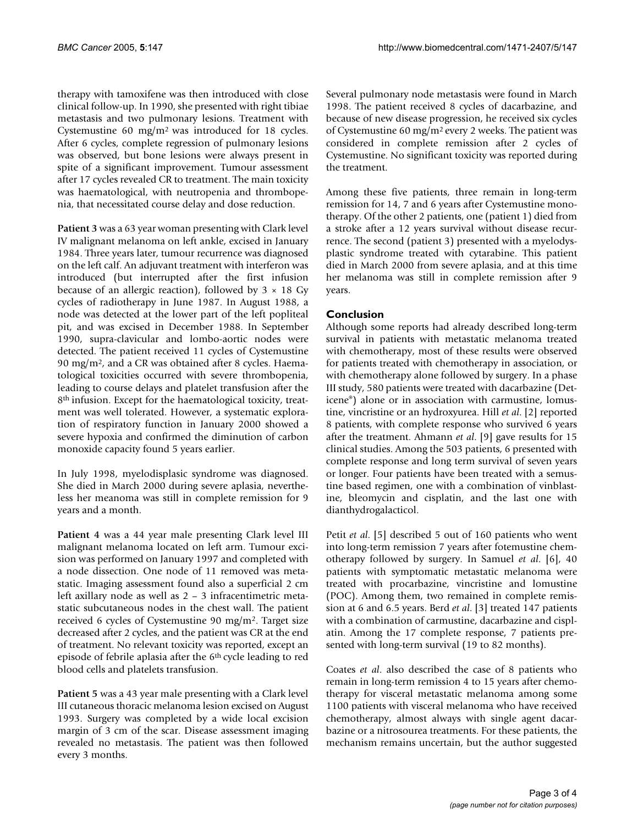therapy with tamoxifene was then introduced with close clinical follow-up. In 1990, she presented with right tibiae metastasis and two pulmonary lesions. Treatment with Cystemustine 60 mg/m<sup>2</sup>was introduced for 18 cycles. After 6 cycles, complete regression of pulmonary lesions was observed, but bone lesions were always present in spite of a significant improvement. Tumour assessment after 17 cycles revealed CR to treatment. The main toxicity was haematological, with neutropenia and thrombopenia, that necessitated course delay and dose reduction.

**Patient 3** was a 63 year woman presenting with Clark level IV malignant melanoma on left ankle, excised in January 1984. Three years later, tumour recurrence was diagnosed on the left calf. An adjuvant treatment with interferon was introduced (but interrupted after the first infusion because of an allergic reaction), followed by  $3 \times 18$  Gy cycles of radiotherapy in June 1987. In August 1988, a node was detected at the lower part of the left popliteal pit, and was excised in December 1988. In September 1990, supra-clavicular and lombo-aortic nodes were detected. The patient received 11 cycles of Cystemustine 90 mg/m2, and a CR was obtained after 8 cycles. Haematological toxicities occurred with severe thrombopenia, leading to course delays and platelet transfusion after the 8<sup>th</sup> infusion. Except for the haematological toxicity, treatment was well tolerated. However, a systematic exploration of respiratory function in January 2000 showed a severe hypoxia and confirmed the diminution of carbon monoxide capacity found 5 years earlier.

In July 1998, myelodisplasic syndrome was diagnosed. She died in March 2000 during severe aplasia, nevertheless her meanoma was still in complete remission for 9 years and a month.

**Patient 4** was a 44 year male presenting Clark level III malignant melanoma located on left arm. Tumour excision was performed on January 1997 and completed with a node dissection. One node of 11 removed was metastatic. Imaging assessment found also a superficial 2 cm left axillary node as well as 2 – 3 infracentimetric metastatic subcutaneous nodes in the chest wall. The patient received 6 cycles of Cystemustine 90 mg/m<sup>2</sup>. Target size decreased after 2 cycles, and the patient was CR at the end of treatment. No relevant toxicity was reported, except an episode of febrile aplasia after the 6<sup>th</sup> cycle leading to red blood cells and platelets transfusion.

**Patient 5** was a 43 year male presenting with a Clark level III cutaneous thoracic melanoma lesion excised on August 1993. Surgery was completed by a wide local excision margin of 3 cm of the scar. Disease assessment imaging revealed no metastasis. The patient was then followed every 3 months.

Several pulmonary node metastasis were found in March 1998. The patient received 8 cycles of dacarbazine, and because of new disease progression, he received six cycles of Cystemustine 60 mg/m<sup>2</sup>every 2 weeks. The patient was considered in complete remission after 2 cycles of Cystemustine. No significant toxicity was reported during the treatment.

Among these five patients, three remain in long-term remission for 14, 7 and 6 years after Cystemustine monotherapy. Of the other 2 patients, one (patient 1) died from a stroke after a 12 years survival without disease recurrence. The second (patient 3) presented with a myelodysplastic syndrome treated with cytarabine. This patient died in March 2000 from severe aplasia, and at this time her melanoma was still in complete remission after 9 years.

### **Conclusion**

Although some reports had already described long-term survival in patients with metastatic melanoma treated with chemotherapy, most of these results were observed for patients treated with chemotherapy in association, or with chemotherapy alone followed by surgery. In a phase III study, 580 patients were treated with dacarbazine (Deticene®) alone or in association with carmustine, lomustine, vincristine or an hydroxyurea. Hill *et al*. [2] reported 8 patients, with complete response who survived 6 years after the treatment. Ahmann *et al*. [9] gave results for 15 clinical studies. Among the 503 patients, 6 presented with complete response and long term survival of seven years or longer. Four patients have been treated with a semustine based regimen, one with a combination of vinblastine, bleomycin and cisplatin, and the last one with dianthydrogalacticol.

Petit *et al*. [5] described 5 out of 160 patients who went into long-term remission 7 years after fotemustine chemotherapy followed by surgery. In Samuel *et al*. [6], 40 patients with symptomatic metastatic melanoma were treated with procarbazine, vincristine and lomustine (POC). Among them, two remained in complete remission at 6 and 6.5 years. Berd *et al*. [3] treated 147 patients with a combination of carmustine, dacarbazine and cisplatin. Among the 17 complete response, 7 patients presented with long-term survival (19 to 82 months).

Coates *et al*. also described the case of 8 patients who remain in long-term remission 4 to 15 years after chemotherapy for visceral metastatic melanoma among some 1100 patients with visceral melanoma who have received chemotherapy, almost always with single agent dacarbazine or a nitrosourea treatments. For these patients, the mechanism remains uncertain, but the author suggested